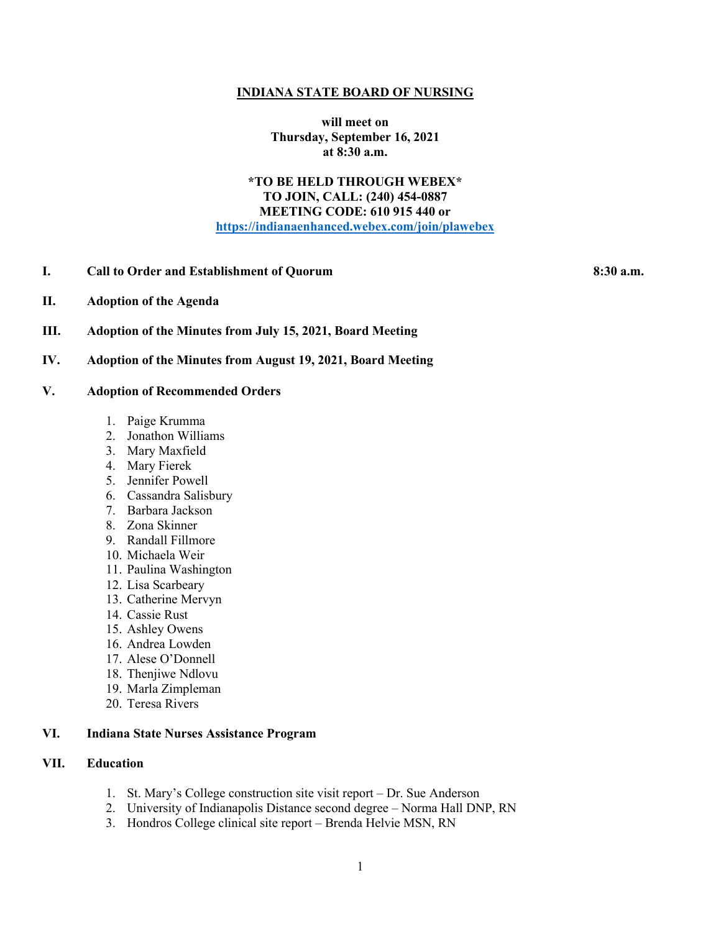#### **INDIANA STATE BOARD OF NURSING**

**will meet on Thursday, September 16, 2021 at 8:30 a.m.**

# **\*TO BE HELD THROUGH WEBEX\* TO JOIN, CALL: (240) 454-0887 MEETING CODE: 610 915 440 or [https://indianaenhanced.webex.com/join/plawebex](https://indianaenhanced.webex.com/join/PLAWebex)**

## **I. Call to Order and Establishment of Quorum 8:30 a.m.**

- **II. Adoption of the Agenda**
- **III. Adoption of the Minutes from July 15, 2021, Board Meeting**
- **IV. Adoption of the Minutes from August 19, 2021, Board Meeting**

### **V. Adoption of Recommended Orders**

- 1. Paige Krumma
- 2. Jonathon Williams
- 3. Mary Maxfield
- 4. Mary Fierek
- 5. Jennifer Powell
- 6. Cassandra Salisbury
- 7. Barbara Jackson
- 8. Zona Skinner
- 9. Randall Fillmore
- 10. Michaela Weir
- 11. Paulina Washington
- 12. Lisa Scarbeary
- 13. Catherine Mervyn
- 14. Cassie Rust
- 15. Ashley Owens
- 16. Andrea Lowden
- 17. Alese O'Donnell
- 18. Thenjiwe Ndlovu
- 19. Marla Zimpleman
- 20. Teresa Rivers

# **VI. Indiana State Nurses Assistance Program**

# **VII. Education**

- 1. St. Mary's College construction site visit report Dr. Sue Anderson
- 2. University of Indianapolis Distance second degree Norma Hall DNP, RN
- 3. Hondros College clinical site report Brenda Helvie MSN, RN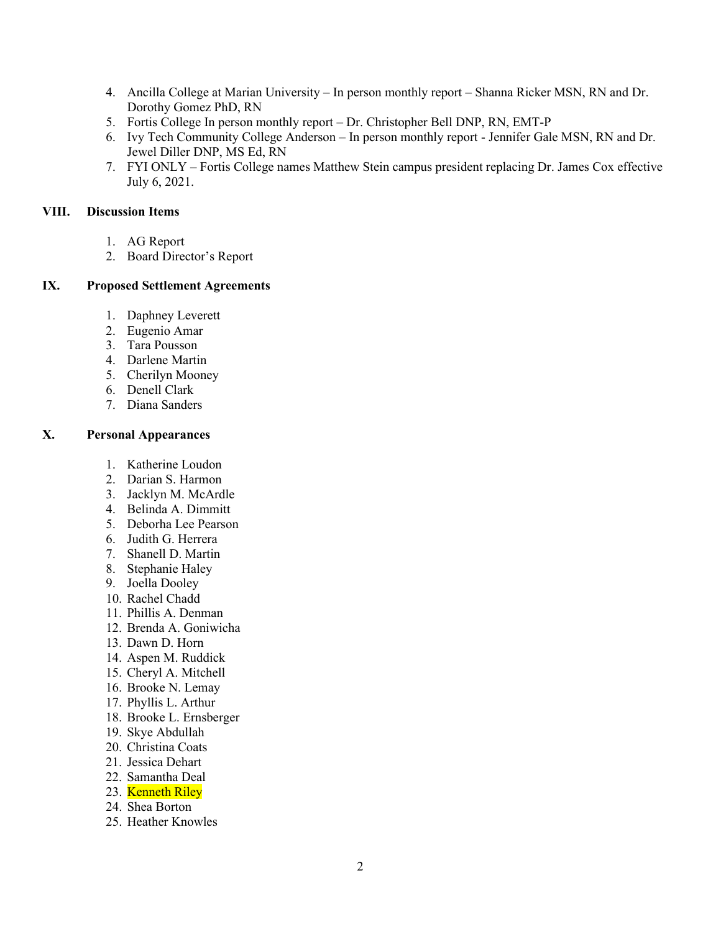- 4. Ancilla College at Marian University In person monthly report Shanna Ricker MSN, RN and Dr. Dorothy Gomez PhD, RN
- 5. Fortis College In person monthly report Dr. Christopher Bell DNP, RN, EMT-P
- 6. Ivy Tech Community College Anderson In person monthly report Jennifer Gale MSN, RN and Dr. Jewel Diller DNP, MS Ed, RN
- 7. FYI ONLY Fortis College names Matthew Stein campus president replacing Dr. James Cox effective July 6, 2021.

### **VIII. Discussion Items**

- 1. AG Report
- 2. Board Director's Report

# **IX. Proposed Settlement Agreements**

- 1. Daphney Leverett
- 2. Eugenio Amar
- 3. Tara Pousson
- 4. Darlene Martin
- 5. Cherilyn Mooney
- 6. Denell Clark
- 7. Diana Sanders

# **X. Personal Appearances**

- 1. Katherine Loudon
- 2. Darian S. Harmon
- 3. Jacklyn M. McArdle
- 4. Belinda A. Dimmitt
- 5. Deborha Lee Pearson
- 6. Judith G. Herrera
- 7. Shanell D. Martin
- 8. Stephanie Haley
- 9. Joella Dooley
- 10. Rachel Chadd
- 11. Phillis A. Denman
- 12. Brenda A. Goniwicha
- 13. Dawn D. Horn
- 14. Aspen M. Ruddick
- 15. Cheryl A. Mitchell
- 16. Brooke N. Lemay
- 17. Phyllis L. Arthur
- 18. Brooke L. Ernsberger
- 19. Skye Abdullah
- 20. Christina Coats
- 21. Jessica Dehart
- 22. Samantha Deal
- 23. Kenneth Riley
- 24. Shea Borton
- 25. Heather Knowles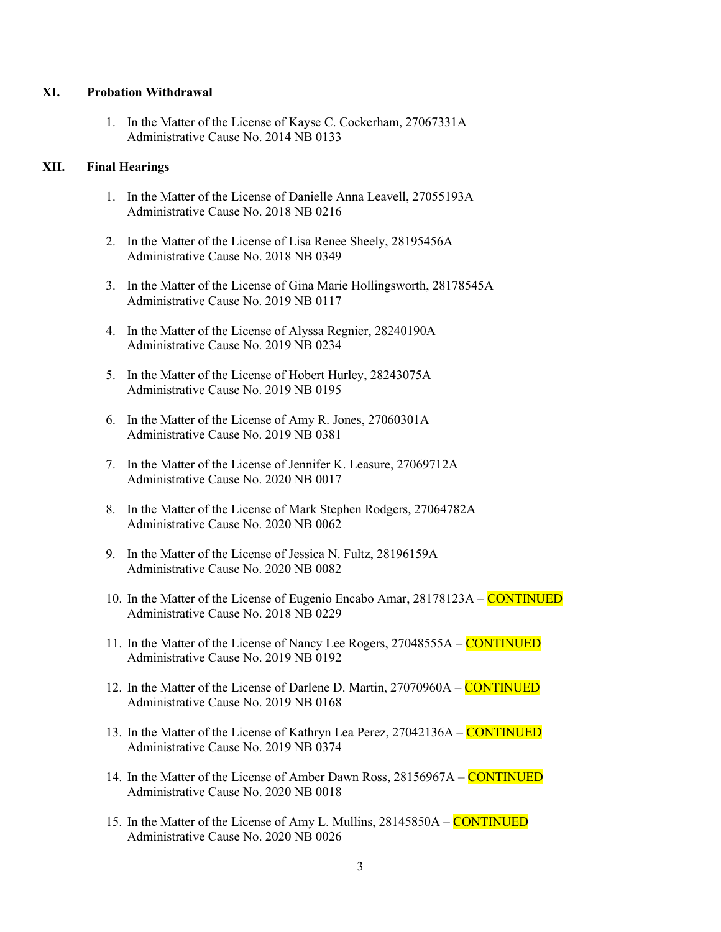#### **XI. Probation Withdrawal**

1. In the Matter of the License of Kayse C. Cockerham, 27067331A Administrative Cause No. 2014 NB 0133

#### **XII. Final Hearings**

- 1. In the Matter of the License of Danielle Anna Leavell, 27055193A Administrative Cause No. 2018 NB 0216
- 2. In the Matter of the License of Lisa Renee Sheely, 28195456A Administrative Cause No. 2018 NB 0349
- 3. In the Matter of the License of Gina Marie Hollingsworth, 28178545A Administrative Cause No. 2019 NB 0117
- 4. In the Matter of the License of Alyssa Regnier, 28240190A Administrative Cause No. 2019 NB 0234
- 5. In the Matter of the License of Hobert Hurley, 28243075A Administrative Cause No. 2019 NB 0195
- 6. In the Matter of the License of Amy R. Jones, 27060301A Administrative Cause No. 2019 NB 0381
- 7. In the Matter of the License of Jennifer K. Leasure, 27069712A Administrative Cause No. 2020 NB 0017
- 8. In the Matter of the License of Mark Stephen Rodgers, 27064782A Administrative Cause No. 2020 NB 0062
- 9. In the Matter of the License of Jessica N. Fultz, 28196159A Administrative Cause No. 2020 NB 0082
- 10. In the Matter of the License of Eugenio Encabo Amar, 28178123A CONTINUED Administrative Cause No. 2018 NB 0229
- 11. In the Matter of the License of Nancy Lee Rogers, 27048555A CONTINUED Administrative Cause No. 2019 NB 0192
- 12. In the Matter of the License of Darlene D. Martin, 27070960A CONTINUED Administrative Cause No. 2019 NB 0168
- 13. In the Matter of the License of Kathryn Lea Perez, 27042136A CONTINUED Administrative Cause No. 2019 NB 0374
- 14. In the Matter of the License of Amber Dawn Ross, 28156967A CONTINUED Administrative Cause No. 2020 NB 0018
- 15. In the Matter of the License of Amy L. Mullins, 28145850A CONTINUED Administrative Cause No. 2020 NB 0026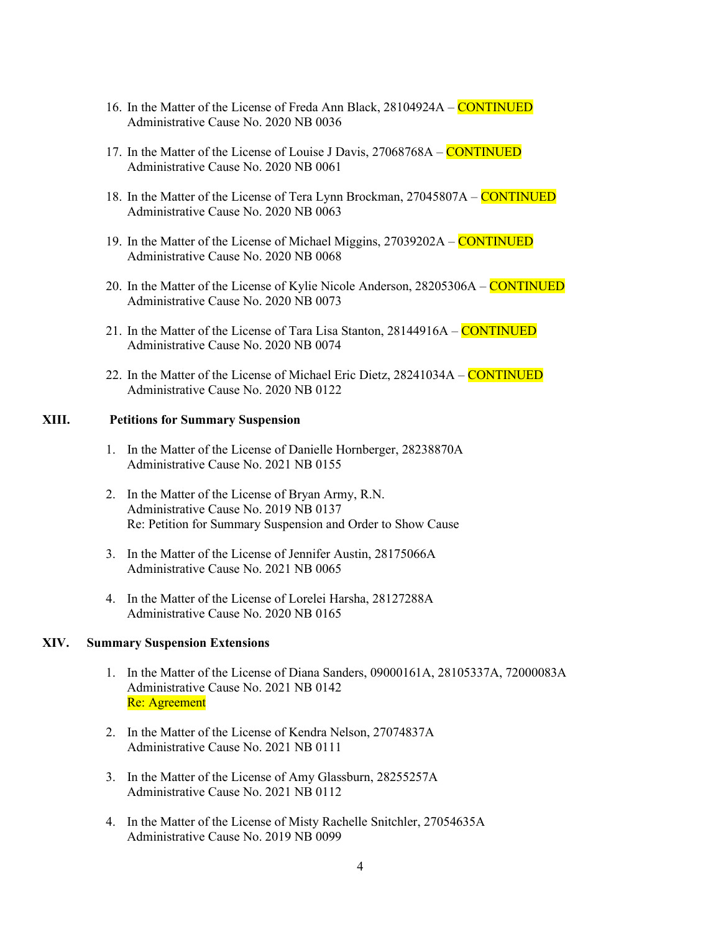- 16. In the Matter of the License of Freda Ann Black, 28104924A CONTINUED Administrative Cause No. 2020 NB 0036
- 17. In the Matter of the License of Louise J Davis, 27068768A CONTINUED Administrative Cause No. 2020 NB 0061
- 18. In the Matter of the License of Tera Lynn Brockman, 27045807A CONTINUED Administrative Cause No. 2020 NB 0063
- 19. In the Matter of the License of Michael Miggins, 27039202A CONTINUED Administrative Cause No. 2020 NB 0068
- 20. In the Matter of the License of Kylie Nicole Anderson, 28205306A CONTINUED Administrative Cause No. 2020 NB 0073
- 21. In the Matter of the License of Tara Lisa Stanton, 28144916A CONTINUED Administrative Cause No. 2020 NB 0074
- 22. In the Matter of the License of Michael Eric Dietz, 28241034A CONTINUED Administrative Cause No. 2020 NB 0122

## **XIII. Petitions for Summary Suspension**

- 1. In the Matter of the License of Danielle Hornberger, 28238870A Administrative Cause No. 2021 NB 0155
- 2. In the Matter of the License of Bryan Army, R.N. Administrative Cause No. 2019 NB 0137 Re: Petition for Summary Suspension and Order to Show Cause
- 3. In the Matter of the License of Jennifer Austin, 28175066A Administrative Cause No. 2021 NB 0065
- 4. In the Matter of the License of Lorelei Harsha, 28127288A Administrative Cause No. 2020 NB 0165

#### **XIV. Summary Suspension Extensions**

- 1. In the Matter of the License of Diana Sanders, 09000161A, 28105337A, 72000083A Administrative Cause No. 2021 NB 0142 Re: Agreement
- 2. In the Matter of the License of Kendra Nelson, 27074837A Administrative Cause No. 2021 NB 0111
- 3. In the Matter of the License of Amy Glassburn, 28255257A Administrative Cause No. 2021 NB 0112
- 4. In the Matter of the License of Misty Rachelle Snitchler, 27054635A Administrative Cause No. 2019 NB 0099